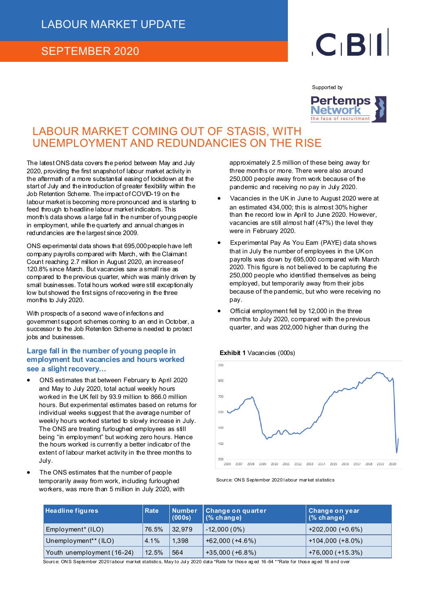### SEPTEMBER 2020

# $C<sub>1</sub>B$

Supported by



## LABOUR MARKET COMING OUT OF STASIS, WITH UNEMPLOYMENT AND REDUNDANCIES ON THE RISE

The latest ONS data covers the period between May and July 2020, providing the first snapshot of labour market activity in the aftermath of a more substantial easing of lockdown at the start of July and the introduction of greater flexibility within the Job Retention Scheme. The impact of COVID-19 on the labour market is becoming more pronounced and is starting to feed through to headline labour market indicators. This month's data shows a large fall in the number of young people in employment, while the quarterly and annual changes in redundancies are the largest since 2009.

ONS experimental data shows that 695,000 people have left company payrolls compared with March, with the Claimant Count reaching 2.7 million in August 2020, an increase of 120.8% since March. But vacancies saw a small rise as compared to the previous quarter, which was mainly driven by small businesses. Total hours worked were still exceptionally low but showed the first signs of recovering in the three months to July 2020.

With prospects of a second wave of infections and government support schemes coming to an end in October, a successor to the Job Retention Scheme is needed to protect jobs and businesses.

#### **Large fall in the number of young people in employment but vacancies and hours worked see a slight recovery…**

- ONS estimates that between February to April 2020 and May to July 2020, total actual weekly hours worked in the UK fell by 93.9 million to 866.0 million hours. But experimental estimates based on returns for individual weeks suggest that the average number of weekly hours worked started to slowly increase in July. The ONS are treating furloughed employees as still being "in employment" but working zero hours. Hence the hours worked is currently a better indicator of the extent of labour market activity in the three months to July.
- The ONS estimates that the number of people temporarily away from work, including furloughed workers, was more than 5 million in July 2020, with

approximately 2.5 million of these being away for three months or more. There were also around 250,000 people away from work because of the pandemic and receiving no pay in July 2020.

- Vacancies in the UK in June to August 2020 were at an estimated 434,000; this is almost 30% higher than the record low in April to June 2020. However, vacancies are still almost half (47%) the level they were in February 2020.
- Experimental Pay As You Earn (PAYE) data shows that in July the number of employees in the UK on payrolls was down by 695,000 compared with March 2020. This figure is not believed to be capturing the 250,000 people who identified themselves as being employed, but temporarily away from their jobs because of the pandemic, but who were receiving no pay.
- Official employment fell by 12,000 in the three months to July 2020, compared with the previous quarter, and was 202,000 higher than during the





| <b>Headline figures</b>          | <b>Rate</b> | <b>Number</b><br>(000s) | Change on quarter<br>$(%$ change) | <b>Change on year</b><br>$(%$ change) |
|----------------------------------|-------------|-------------------------|-----------------------------------|---------------------------------------|
| Employment <sup>*</sup> (ILO)    | 76.5%       | 32.979                  | $-12,000(0\%)$                    | $+202,000 (+0.6%)$                    |
| Unemployment <sup>**</sup> (ILO) | 4.1%        | 1,398                   | $+62,000 (+4.6%)$                 | $+104,000 (+8.0%)$                    |
| Youth unemployment (16-24)       | 12.5%       | 564                     | $+35,000 (+6.8%)$                 | $+76,000 (+15.3%)$                    |

Source: ONS September 2020 labour market statistics, May to July 2020 data \*Rate for those aged 16 -64 \*\*Rate for those aged 16 and over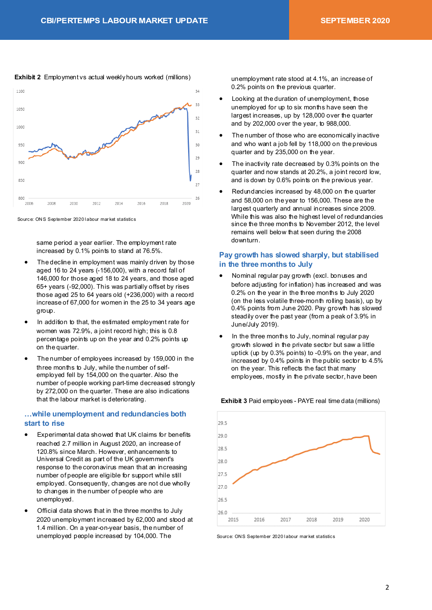#### **Exhibit 2** Employment vs actual weekly hours worked (millions)



Source: ON S September 2020 l abour mar ket statistics

same period a year earlier. The employment rate increased by 0.1% points to stand at 76.5%.

- The decline in employment was mainly driven by those aged 16 to 24 years (-156,000), with a record fall of 146,000 for those aged 18 to 24 years, and those aged 65+ years (-92,000). This was partially offset by rises those aged 25 to 64 years old (+236,000) with a record increase of 67,000 for women in the 25 to 34 years age group.
- In addition to that, the estimated employment rate for women was 72.9%, a joint record high; this is 0.8 percentage points up on the year and 0.2% points up on the quarter.
- The number of employees increased by 159,000 in the three months to July, while the number of selfemployed fell by 154,000 on the quarter. Also the number of people working part-time decreased strongly by 272,000 on the quarter. These are also indications that the labour market is deteriorating.

#### **…while unemployment and redundancies both start to rise**

- Experimental data showed that UK claims for benefits reached 2.7 million in August 2020, an increase of 120.8% since March. However, enhancements to Universal Credit as part of the UK government's response to the coronavirus mean that an increasing number of people are eligible for support while still employed. Consequently, changes are not due wholly to changes in the number of people who are unemployed.
- Official data shows that in the three months to July 2020 unemployment increased by 62,000 and stood at 1.4 million. On a year-on-year basis, the number of unemployed people increased by 104,000. The

unemployment rate stood at 4.1%, an increase of 0.2% points on the previous quarter.

- Looking at the duration of unemployment, those unemployed for up to six months have seen the largest increases, up by 128,000 over the quarter and by 202,000 over the year, to 988,000.
- The number of those who are economically inactive and who want a job fell by 118,000 on the previous quarter and by 235,000 on the year.
- The inactivity rate decreased by 0.3% points on the quarter and now stands at 20.2%, a joint record low, and is down by 0.6% points on the previous year.
- Redundancies increased by 48,000 on the quarter and 58,000 on the year to 156,000. These are the largest quarterly and annual increases since 2009. While this was also the highest level of redundancies since the three months to November 2012, the level remains well below that seen during the 2008 downturn.

#### **Pay growth has slowed sharply, but stabilised in the three months to July**

- Nominal regular pay growth (excl. bonuses and before adjusting for inflation) has increased and was 0.2% on the year in the three months to July 2020 (on the less volatile three-month rolling basis), up by 0.4% points from June 2020. Pay growth has slowed steadily over the past year (from a peak of 3.9% in June/July 2019).
- In the three months to July, nominal regular pay growth slowed in the private sector but saw a little uptick (up by 0.3% points) to -0.9% on the year, and increased by 0.4% points in the public sector to 4.5% on the year. This reflects the fact that many employees, mostly in the private sector, have been



**Exhibit 3** Paid employees - PAYE real time data (millions)

Source: ON S September 2020 l abour mar ket statistics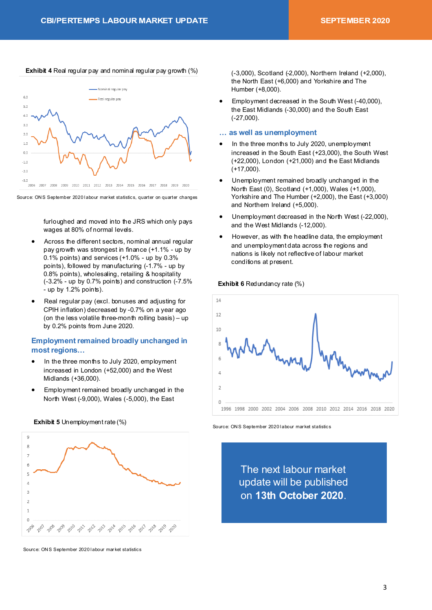#### **Exhibit 4** Real regular pay and nominal regular pay growth (%)



Source: ON S September 2020 l abour mar ket statistics, quarter on quarter changes

furloughed and moved into the JRS which only pays wages at 80% of normal levels.

- Across the different sectors, nominal annual regular pay growth was strongest in finance (+1.1% - up by 0.1% points) and services (+1.0% - up by 0.3% points), followed by manufacturing (-1.7% - up by 0.8% points), wholesaling, retailing & hospitality (-3.2% - up by 0.7% points) and construction (-7.5% - up by 1.2% points).
- Real regular pay (excl. bonuses and adjusting for CPIH inflation) decreased by -0.7% on a year ago (on the less volatile three-month rolling basis) – up by 0.2% points from June 2020.

#### **Employment remained broadly unchanged in most regions…**

- In the three months to July 2020, employment increased in London (+52,000) and the West Midlands (+36,000).
- Employment remained broadly unchanged in the North West (-9,000), Wales (-5,000), the East





Source: ONS September 2020 labour market statistics

(-3,000), Scotland (-2,000), Northern Ireland (+2,000), the North East (+6,000) and Yorkshire and The Humber (+8,000).

• Employment decreased in the South West (-40,000), the East Midlands (-30,000) and the South East (-27,000).

#### **… as well as unemployment**

- In the three months to July 2020, unemployment increased in the South East (+23,000), the South West (+22,000), London (+21,000) and the East Midlands (+17,000).
- Unemployment remained broadly unchanged in the North East (0), Scotland (+1,000), Wales (+1,000), Yorkshire and The Humber (+2,000), the East (+3,000) and Northern Ireland (+5,000).
- Unemployment decreased in the North West (-22,000), and the West Midlands (-12,000).
- However, as with the headline data, the employment and unemployment data across the regions and nations is likely not reflective of labour market conditions at present.

#### **Exhibit 6 Redundancy rate (%)**



Source: ONS September 2020 labour market statistics

The next labour market update will be published on **13th October 2020**.